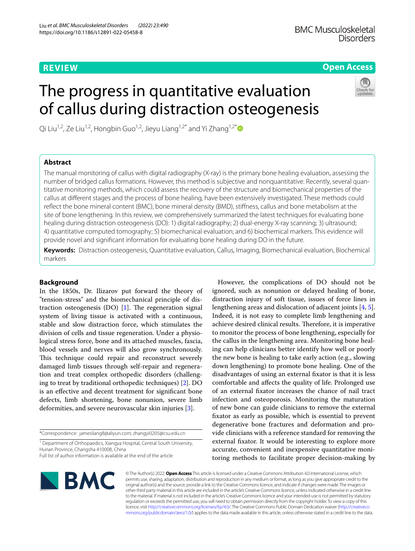**Open Access**

# The progress in quantitative evaluation of callus during distraction osteogenesis

Qi Liu<sup>1,2</sup>, Ze Liu<sup>1,2</sup>, Hongbin Guo<sup>1,2</sup>, Jieyu Liang<sup>1,2\*</sup> and Yi Zhang<sup>1,2\*</sup>



The manual monitoring of callus with digital radiography (X-ray) is the primary bone healing evaluation, assessing the number of bridged callus formations. However, this method is subjective and nonquantitative. Recently, several quantitative monitoring methods, which could assess the recovery of the structure and biomechanical properties of the callus at diferent stages and the process of bone healing, have been extensively investigated. These methods could refect the bone mineral content (BMC), bone mineral density (BMD), stifness, callus and bone metabolism at the site of bone lengthening. In this review, we comprehensively summarized the latest techniques for evaluating bone healing during distraction osteogenesis (DO): 1) digital radiography; 2) dual-energy X-ray scanning; 3) ultrasound; 4) quantitative computed tomography; 5) biomechanical evaluation; and 6) biochemical markers. This evidence will provide novel and signifcant information for evaluating bone healing during DO in the future.

**Keywords:** Distraction osteogenesis, Quantitative evaluation, Callus, Imaging, Biomechanical evaluation, Biochemical markers

# **Background**

In the 1850s, Dr. Ilizarov put forward the theory of "tension-stress" and the biomechanical principle of distraction osteogenesis  $(DO)$  [\[1](#page-8-0)]. The regeneration signal system of living tissue is activated with a continuous, stable and slow distraction force, which stimulates the division of cells and tissue regeneration. Under a physiological stress force, bone and its attached muscles, fascia, blood vessels and nerves will also grow synchronously. This technique could repair and reconstruct severely damaged limb tissues through self-repair and regeneration and treat complex orthopedic disorders (challenging to treat by traditional orthopedic techniques) [[2\]](#page-9-0). DO is an efective and decent treatment for signifcant bone defects, limb shortening, bone nonunion, severe limb deformities, and severe neurovascular skin injuries [[3\]](#page-9-1).

\*Correspondence: jamesliang8@aliyun.com; zhangyi0205@csu.edu.cn

<sup>1</sup> Department of Orthopaedics, Xiangya Hospital, Central South University, Hunan Province, Changsha 410008, China

Full list of author information is available at the end of the article

However, the complications of DO should not be ignored, such as nonunion or delayed healing of bone, distraction injury of soft tissue, issues of force lines in lengthening areas and dislocation of adjacent joints [[4,](#page-9-2) [5](#page-9-3)]. Indeed, it is not easy to complete limb lengthening and achieve desired clinical results. Therefore, it is imperative to monitor the process of bone lengthening, especially for the callus in the lengthening area. Monitoring bone healing can help clinicians better identify how well or poorly the new bone is healing to take early action (e.g., slowing down lengthening) to promote bone healing. One of the disadvantages of using an external fxator is that it is less comfortable and afects the quality of life. Prolonged use of an external fxator increases the chance of nail tract infection and osteoporosis. Monitoring the maturation of new bone can guide clinicians to remove the external fxator as early as possible, which is essential to prevent degenerative bone fractures and deformation and provide clinicians with a reference standard for removing the external fxator. It would be interesting to explore more accurate, convenient and inexpensive quantitative monitoring methods to facilitate proper decision-making by



© The Author(s) 2022. **Open Access** This article is licensed under a Creative Commons Attribution 4.0 International License, which permits use, sharing, adaptation, distribution and reproduction in any medium or format, as long as you give appropriate credit to the original author(s) and the source, provide a link to the Creative Commons licence, and indicate if changes were made. The images or other third party material in this article are included in the article's Creative Commons licence, unless indicated otherwise in a credit line to the material. If material is not included in the article's Creative Commons licence and your intended use is not permitted by statutory regulation or exceeds the permitted use, you will need to obtain permission directly from the copyright holder. To view a copy of this licence, visit [http://creativecommons.org/licenses/by/4.0/.](http://creativecommons.org/licenses/by/4.0/) The Creative Commons Public Domain Dedication waiver ([http://creativeco](http://creativecommons.org/publicdomain/zero/1.0/) [mmons.org/publicdomain/zero/1.0/](http://creativecommons.org/publicdomain/zero/1.0/)) applies to the data made available in this article, unless otherwise stated in a credit line to the data.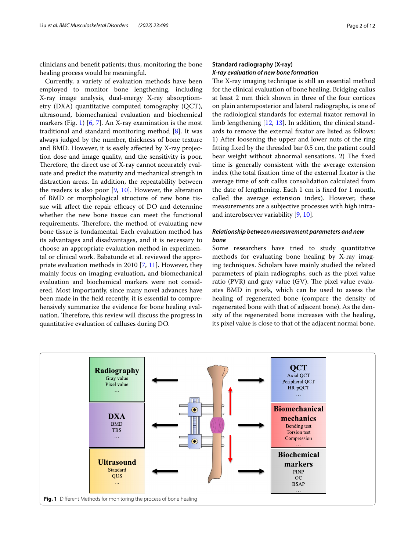clinicians and beneft patients; thus, monitoring the bone healing process would be meaningful.

Currently, a variety of evaluation methods have been employed to monitor bone lengthening, including X-ray image analysis, dual-energy X-ray absorptiometry (DXA) quantitative computed tomography (QCT), ultrasound, biomechanical evaluation and biochemical markers (Fig. [1](#page-1-0)) [[6,](#page-9-4) [7](#page-9-5)]. An X-ray examination is the most traditional and standard monitoring method [[8\]](#page-9-6). It was always judged by the number, thickness of bone texture and BMD. However, it is easily afected by X-ray projection dose and image quality, and the sensitivity is poor. Therefore, the direct use of X-ray cannot accurately evaluate and predict the maturity and mechanical strength in distraction areas. In addition, the repeatability between the readers is also poor  $[9, 10]$  $[9, 10]$  $[9, 10]$  $[9, 10]$ . However, the alteration of BMD or morphological structure of new bone tissue will affect the repair efficacy of DO and determine whether the new bone tissue can meet the functional requirements. Therefore, the method of evaluating new bone tissue is fundamental. Each evaluation method has its advantages and disadvantages, and it is necessary to choose an appropriate evaluation method in experimental or clinical work. Babatunde et al. reviewed the appropriate evaluation methods in 2010 [[7,](#page-9-5) [11](#page-9-9)]. However, they mainly focus on imaging evaluation, and biomechanical evaluation and biochemical markers were not considered. Most importantly, since many novel advances have been made in the feld recently, it is essential to comprehensively summarize the evidence for bone healing evaluation. Therefore, this review will discuss the progress in quantitative evaluation of calluses during DO.

# **Standard radiography (X‑ray)** *X‑ray evaluation of new bone formation*

The X-ray imaging technique is still an essential method for the clinical evaluation of bone healing. Bridging callus at least 2 mm thick shown in three of the four cortices on plain anteroposterior and lateral radiographs, is one of the radiological standards for external fxator removal in limb lengthening [[12,](#page-9-10) [13\]](#page-9-11). In addition, the clinical standards to remove the external fxator are listed as follows: 1) After loosening the upper and lower nuts of the ring ftting fxed by the threaded bar 0.5 cm, the patient could bear weight without abnormal sensations. 2) The fixed time is generally consistent with the average extension index (the total fxation time of the external fxator is the average time of soft callus consolidation calculated from the date of lengthening. Each 1 cm is fxed for 1 month, called the average extension index). However, these measurements are a subjective processes with high intraand interobserver variability [[9,](#page-9-7) [10\]](#page-9-8).

# *Relationship between measurement parameters and new bone*

Some researchers have tried to study quantitative methods for evaluating bone healing by X-ray imaging techniques. Scholars have mainly studied the related parameters of plain radiographs, such as the pixel value ratio (PVR) and gray value (GV). The pixel value evaluates BMD in pixels, which can be used to assess the healing of regenerated bone (compare the density of regenerated bone with that of adjacent bone). As the density of the regenerated bone increases with the healing, its pixel value is close to that of the adjacent normal bone.

<span id="page-1-0"></span>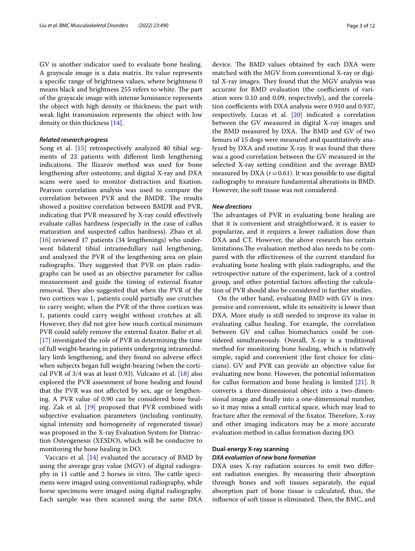GV is another indicator used to evaluate bone healing. A grayscale image is a data matrix. Its value represents a specifc range of brightness values, where brightness 0 means black and brightness 255 refers to white. The part of the grayscale image with intense luminance represents the object with high density or thickness; the part with weak light transmission represents the object with low density or thin thickness [\[14](#page-9-12)].

# *Related research progress*

Song et al. [\[15\]](#page-9-13) retrospectively analyzed 40 tibial segments of 23 patients with diferent limb lengthening indications. The Ilizarov method was used for bone lengthening after osteotomy, and digital X-ray and DXA scans were used to monitor distraction and fxation. Pearson correlation analysis was used to compare the correlation between PVR and the BMDR. The results showed a positive correlation between BMDR and PVR, indicating that PVR measured by X-ray could efectively evaluate callus hardness (especially in the case of callus maturation and suspected callus hardness). Zhao et al.  $[16]$  $[16]$  reviewed 17 patients (34 lengthenings) who underwent bilateral tibial intramedullary nail lengthening, and analyzed the PVR of the lengthening area on plain radiographs. They suggested that PVR on plain radiographs can be used as an objective parameter for callus measurement and guide the timing of external fxator removal. They also suggested that when the PVR of the two cortices was 1, patients could partially use crutches to carry weight; when the PVR of the three cortices was 1, patients could carry weight without crutches at all. However, they did not give how much cortical minimum PVR could safely remove the external fxator. Bafor et al. [[17\]](#page-9-15) investigated the role of PVR in determining the time of full weight-bearing in patients undergoing intramedullary limb lengthening, and they found no adverse efect when subjects began full weight-bearing (when the cortical PVR of 3/4 was at least 0.93). Vulcano et al. [[18](#page-9-16)] also explored the PVR assessment of bone healing and found that the PVR was not afected by sex, age or lengthening. A PVR value of 0.90 can be considered bone healing. Zak et al. [\[19](#page-9-17)] proposed that PVR combined with subjective evaluation parameters (including continuity, signal intensity and homogeneity of regenerated tissue) was proposed in the X-ray Evaluation System for Distraction Osteogenesis (XESDO), which will be conducive to monitoring the bone healing in DO.

Vaccaro et al.  $[14]$  $[14]$  evaluated the accuracy of BMD by using the average gray value (MGV) of digital radiography in 11 cattle and 2 horses in vitro. The cattle specimens were imaged using conventional radiography, while horse specimens were imaged using digital radiography. Each sample was then scanned using the same DXA

device. The BMD values obtained by each DXA were matched with the MGV from conventional X-ray or digital X-ray images. They found that the MGV analysis was accurate for BMD evaluation (the coefficients of variation were 0.10 and 0.09, respectively), and the correlation coefficients with DXA analysis were 0.910 and 0.937, respectively. Lucas et al. [\[20](#page-9-18)] indicated a correlation between the GV measured in digital X-ray images and the BMD measured by DXA. The BMD and GV of two femurs of 15 dogs were measured and quantitatively analyzed by DXA and routine X-ray. It was found that there was a good correlation between the GV measured in the selected X-ray setting condition and the average BMD measured by DXA  $(r=0.61)$ . It was possible to use digital radiography to measure fundamental alterations in BMD. However, the soft tissue was not considered.

#### *New directions*

The advantages of PVR in evaluating bone healing are that it is convenient and straightforward, it is easier to popularize, and it requires a lower radiation dose than DXA and CT. However, the above research has certain limitations. The evaluation method also needs to be compared with the efectiveness of the current standard for evaluating bone healing with plain radiographs, and the retrospective nature of the experiment, lack of a control group, and other potential factors afecting the calculation of PVR should also be considered in further studies.

On the other hand, evaluating BMD with GV is inexpensive and convenient, while its sensitivity is lower than DXA. More study is still needed to improve its value in evaluating callus healing. For example, the correlation between GV and callus biomechanics could be considered simultaneously. Overall, X-ray is a traditional method for monitoring bone healing, which is relatively simple, rapid and convenient (the frst choice for clinicians). GV and PVR can provide an objective value for evaluating new bone. However, the potential information for callus formation and bone healing is limited [\[21](#page-9-19)]. It converts a three-dimensional object into a two-dimensional image and fnally into a one-dimensional number, so it may miss a small cortical space, which may lead to fracture after the removal of the fixator. Therefore, X-ray and other imaging indicators may be a more accurate evaluation method in callus formation during DO.

## **Dual‑energy X‑ray scanning** *DXA evaluation of new bone formation*

DXA uses X-ray radiation sources to emit two diferent radiation energies. By measuring their absorption through bones and soft tissues separately, the equal absorption part of bone tissue is calculated, thus, the influence of soft tissue is eliminated. Then, the BMC, and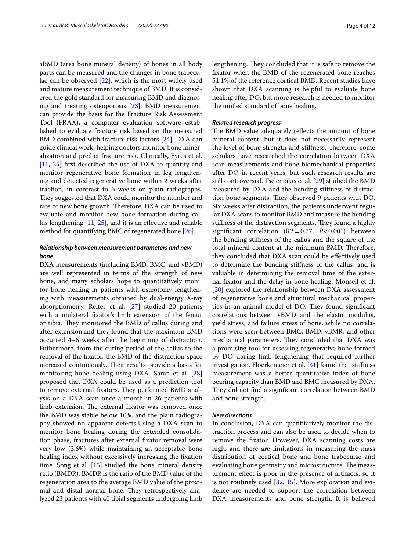aBMD (area bone mineral density) of bones in all body parts can be measured and the changes in bone trabeculae can be observed [[22\]](#page-9-20), which is the most widely used and mature measurement technique of BMD. It is considered the gold standard for measuring BMD and diagnosing and treating osteoporosis [[23](#page-9-21)]. BMD measurement can provide the basis for the Fracture Risk Assessment Tool (FRAX), a computer evaluation software established to evaluate fracture risk based on the measured BMD combined with fracture risk factors [\[24](#page-9-22)]. DXA can guide clinical work, helping doctors monitor bone mineralization and predict fracture risk. Clinically, Eyres et al. [[11,](#page-9-9) [25](#page-9-23)] frst described the use of DXA to quantify and monitor regenerative bone formation in leg lengthening and detected regenerative bone within 2 weeks after traction, in contrast to 6 weeks on plain radiographs. They suggested that DXA could monitor the number and rate of new bone growth. Therefore, DXA can be used to evaluate and monitor new bone formation during callus lengthening [\[11](#page-9-9), [25](#page-9-23)], and it is an efective and reliable method for quantifying BMC of regenerated bone [\[26](#page-9-24)].

# *Relationship between measurement parameters and new bone*

DXA measurements (including BMD, BMC, and vBMD) are well represented in terms of the strength of new bone, and many scholars hope to quantitatively monitor bone healing in patients with osteotomy lengthening with measurements obtained by dual-energy X-ray absorptiometry. Reiter et al. [[27](#page-9-25)] studied 20 patients with a unilateral fxator's limb extension of the femur or tibia. They monitored the BMD of callus during and after extension,and they found that the maximum BMD occurred 4–6 weeks after the beginning of distraction. Futhermore, from the curing period of the callus to the removal of the fxator, the BMD of the distraction space increased continuously. Their results provide a basis for monitoring bone healing using DXA. Saran et al. [[28](#page-9-26)] proposed that DXA could be used as a prediction tool to remove external fixators. They performed BMD analysis on a DXA scan once a month in 26 patients with limb extension. The external fixator was removed once the BMD was stable below 10%, and the plain radiography showed no apparent defects.Using a DXA scan to monitor bone healing during the extended consolidation phase, fractures after external fxator removal were very low (3.6%) while maintaining an acceptable bone healing index without excessively increasing the fxation time. Song et al. [[15\]](#page-9-13) studied the bone mineral density ratio (BMDR). BMDR is the ratio of the BMD value of the regeneration area to the average BMD value of the proximal and distal normal bone. They retrospectively analyzed 23 patients with 40 tibial segments undergoing limb lengthening. They concluded that it is safe to remove the fxator when the BMD of the regenerated bone reaches 51.1% of the reference cortical BMD. Recent studies have shown that DXA scanning is helpful to evaluate bone healing after DO, but more research is needed to monitor the unifed standard of bone healing.

### *Related research progress*

The BMD value adequately reflects the amount of bone mineral content, but it does not necessarily represent the level of bone strength and stiffness. Therefore, some scholars have researched the correlation between DXA scan measurements and bone biomechanical properties after DO in recent years, but such research results are still controversial. Tselentakis et al. [[29\]](#page-9-27) studied the BMD measured by DXA and the bending stifness of distraction bone segments. They observed 9 patients with DO. Six weeks after distraction, the patients underwent regular DXA scans to monitor BMD and measure the bending stiffness of the distraction segments. They found a highly signifcant correlation (R2=0.77, *P*<0.001) between the bending stifness of the callus and the square of the total mineral content at the minimum BMD. Therefore, they concluded that DXA scan could be efectively used to determine the bending stifness of the callus, and is valuable in determining the removal time of the external fxator and the delay in bone healing. Monsell et al. [[30\]](#page-9-28) explored the relationship between DXA assessment of regenerative bone and structural mechanical properties in an animal model of DO. They found significant correlations between vBMD and the elastic modulus, yield stress, and failure stress of bone, while no correlations were seen between BMC, BMD, vBMR, and other mechanical parameters. They concluded that DXA was a promising tool for assessing regenerative bone formed by DO during limb lengthening that required further investigation. Floerkemeier et al. [\[31](#page-9-29)] found that stifness measurement was a better quantitative index of bone bearing capacity than BMD and BMC measured by DXA. They did not find a significant correlation between BMD and bone strength.

#### *New directions*

In conclusion, DXA can quantitatively monitor the distraction process and can also be used to decide when to remove the fxator. However, DXA scanning costs are high, and there are limitations in measuring the mass distribution of cortical bone and bone trabeculae and evaluating bone geometry and microstructure. The measurement efect is poor in the presence of artifacts, so it is not routinely used [\[32](#page-9-30), [15](#page-9-13)]. More exploration and evidence are needed to support the correlation between DXA measurements and bone strength. It is believed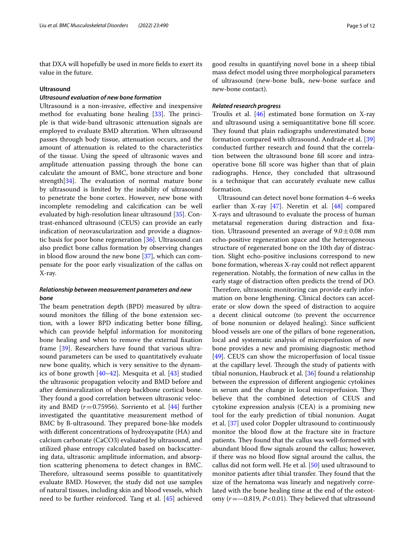that DXA will hopefully be used in more felds to exert its value in the future.

#### **Ultrasound**

# *Ultrasound evaluation of new bone formation*

Ultrasound is a non-invasive, efective and inexpensive method for evaluating bone healing  $[33]$  $[33]$  $[33]$ . The principle is that wide-band ultrasonic attenuation signals are employed to evaluate BMD alteration. When ultrasound passes through body tissue, attenuation occurs, and the amount of attenuation is related to the characteristics of the tissue. Using the speed of ultrasonic waves and amplitude attenuation passing through the bone can calculate the amount of BMC, bone structure and bone strength $[34]$  $[34]$ . The evaluation of normal mature bone by ultrasound is limited by the inability of ultrasound to penetrate the bone cortex. However, new bone with incomplete remodeling and calcifcation can be well evaluated by high-resolution linear ultrasound [[35\]](#page-9-33). Contrast-enhanced ultrasound (CEUS) can provide an early indication of neovascularization and provide a diagnostic basis for poor bone regeneration [\[36](#page-9-34)]. Ultrasound can also predict bone callus formation by observing changes in blood flow around the new bone  $[37]$  $[37]$ , which can compensate for the poor early visualization of the callus on X-ray.

# *Relationship between measurement parameters and new bone*

The beam penetration depth (BPD) measured by ultrasound monitors the flling of the bone extension section, with a lower BPD indicating better bone flling, which can provide helpful information for monitoring bone healing and when to remove the external fxation frame [\[39](#page-9-36)]. Researchers have found that various ultrasound parameters can be used to quantitatively evaluate new bone quality, which is very sensitive to the dynamics of bone growth [[40](#page-9-37)[–42](#page-10-0)]. Mesquita et al. [\[43](#page-10-1)] studied the ultrasonic propagation velocity and BMD before and after demineralization of sheep backbone cortical bone. They found a good correlation between ultrasonic velocity and BMD  $(r=0.75956)$ . Sorriento et al.  $[44]$  $[44]$  $[44]$  further investigated the quantitative measurement method of BMC by B-ultrasound. They prepared bone-like models with diferent concentrations of hydroxyapatite (HA) and calcium carbonate (CaCO3) evaluated by ultrasound, and utilized phase entropy calculated based on backscattering data, ultrasonic amplitude information, and absorption scattering phenomena to detect changes in BMC. Therefore, ultrasound seems possible to quantitatively evaluate BMD. However, the study did not use samples of natural tissues, including skin and blood vessels, which need to be further reinforced. Tang et al. [[45\]](#page-10-3) achieved good results in quantifying novel bone in a sheep tibial mass defect model using three morphological parameters of ultrasound (new-bone bulk, new-bone surface and new-bone contact).

#### *Related research progress*

Troulis et al. [[46\]](#page-10-4) estimated bone formation on X-ray and ultrasound using a semiquantitative bone fll score. They found that plain radiographs underestimated bone formation compared with ultrasound. Andrade et al. [[39](#page-9-36)] conducted further research and found that the correlation between the ultrasound bone fll score and intraoperative bone fll score was higher than that of plain radiographs. Hence, they concluded that ultrasound is a technique that can accurately evaluate new callus formation.

Ultrasound can detect novel bone formation 4–6 weeks earlier than X-ray [\[47\]](#page-10-5). Neretin et al. [\[48](#page-10-6)] compared X-rays and ultrasound to evaluate the process of human metatarsal regeneration during distraction and fxation. Ultrasound presented an average of  $9.0 \pm 0.08$  mm echo-positive regeneration space and the heterogeneous structure of regenerated bone on the 10th day of distraction. Slight echo-positive inclusions correspond to new bone formation, whereas X-ray could not refect apparent regeneration. Notably, the formation of new callus in the early stage of distraction often predicts the trend of DO. Therefore, ultrasonic monitoring can provide early information on bone lengthening. Clinical doctors can accelerate or slow down the speed of distraction to acquire a decent clinical outcome (to prevent the occurrence of bone nonunion or delayed healing). Since sufficient blood vessels are one of the pillars of bone regeneration, local and systematic analysis of microperfusion of new bone provides a new and promising diagnostic method [[49\]](#page-10-7). CEUS can show the microperfusion of local tissue at the capillary level. Through the study of patients with tibial nonunion, Haubruck et al. [\[36\]](#page-9-34) found a relationship between the expression of diferent angiogenic cytokines in serum and the change in local microperfusion. They believe that the combined detection of CEUS and cytokine expression analysis (CEA) is a promising new tool for the early prediction of tibial nonunion. Augat et al. [\[37](#page-9-35)] used color Doppler ultrasound to continuously monitor the blood flow at the fracture site in fracture patients. They found that the callus was well-formed with abundant blood flow signals around the callus; however, if there was no blood fow signal around the callus, the callus did not form well. He et al. [\[50\]](#page-10-8) used ultrasound to monitor patients after tibial transfer. They found that the size of the hematoma was linearly and negatively correlated with the bone healing time at the end of the osteotomy  $(r = -0.819, P < 0.01)$ . They believed that ultrasound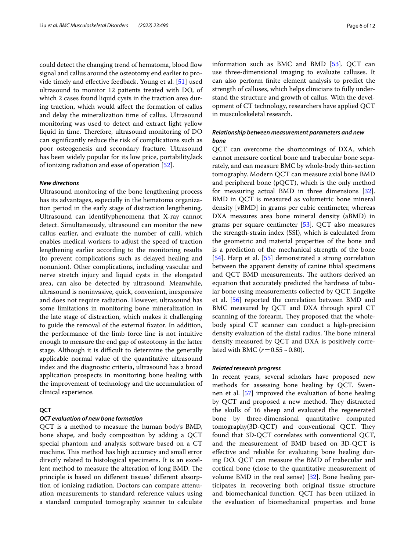could detect the changing trend of hematoma, blood flow signal and callus around the osteotomy end earlier to provide timely and efective feedback. Young et al. [[51](#page-10-9)] used ultrasound to monitor 12 patients treated with DO, of which 2 cases found liquid cysts in the traction area during traction, which would afect the formation of callus and delay the mineralization time of callus. Ultrasound monitoring was used to detect and extract light yellow liquid in time. Therefore, ultrasound monitoring of DO can signifcantly reduce the risk of complications such as poor osteogenesis and secondary fracture. Ultrasound has been widely popular for its low price, portability,lack of ionizing radiation and ease of operation [[52\]](#page-10-10).

#### *New directions*

Ultrasound monitoring of the bone lengthening process has its advantages, especially in the hematoma organization period in the early stage of distraction lengthening. Ultrasound can identifyphenomena that X-ray cannot detect. Simultaneously, ultrasound can monitor the new callus earlier, and evaluate the number of calli, which enables medical workers to adjust the speed of traction lengthening earlier according to the monitoring results (to prevent complications such as delayed healing and nonunion). Other complications, including vascular and nerve stretch injury and liquid cysts in the elongated area, can also be detected by ultrasound. Meanwhile, ultrasound is noninvasive, quick, convenient, inexpensive and does not require radiation. However, ultrasound has some limitations in monitoring bone mineralization in the late stage of distraction, which makes it challenging to guide the removal of the external fxator. In addition, the performance of the limb force line is not intuitive enough to measure the end gap of osteotomy in the latter stage. Although it is difficult to determine the generally applicable normal value of the quantitative ultrasound index and the diagnostic criteria, ultrasound has a broad application prospects in monitoring bone healing with the improvement of technology and the accumulation of clinical experience.

# **QCT**

#### *QCT evaluation of new bone formation*

QCT is a method to measure the human body's BMD, bone shape, and body composition by adding a QCT special phantom and analysis software based on a CT machine. This method has high accuracy and small error directly related to histological specimens. It is an excellent method to measure the alteration of long BMD. The principle is based on diferent tissues' diferent absorption of ionizing radiation. Doctors can compare attenuation measurements to standard reference values using a standard computed tomography scanner to calculate information such as BMC and BMD [\[53](#page-10-11)]. QCT can use three-dimensional imaging to evaluate calluses. It can also perform fnite element analysis to predict the strength of calluses, which helps clinicians to fully understand the structure and growth of callus. With the development of CT technology, researchers have applied QCT in musculoskeletal research.

# *Relationship between measurement parameters and new bone*

QCT can overcome the shortcomings of DXA, which cannot measure cortical bone and trabecular bone separately, and can measure BMC by whole-body thin-section tomography. Modern QCT can measure axial bone BMD and peripheral bone (pQCT), which is the only method for measuring actual BMD in three dimensions [\[32](#page-9-30)]. BMD in QCT is measured as volumetric bone mineral density [vBMD] in grams per cubic centimeter, whereas DXA measures area bone mineral density (aBMD) in grams per square centimeter [[53\]](#page-10-11). QCT also measures the strength-strain index (SSI), which is calculated from the geometric and material properties of the bone and is a prediction of the mechanical strength of the bone [[54\]](#page-10-12). Harp et al. [[55\]](#page-10-13) demonstrated a strong correlation between the apparent density of canine tibial specimens and QCT BMD measurements. The authors derived an equation that accurately predicted the hardness of tubular bone using measurements collected by QCT. Engelke et al. [[56\]](#page-10-14) reported the correlation between BMD and BMC measured by QCT and DXA through spiral CT scanning of the forearm. They proposed that the wholebody spiral CT scanner can conduct a high-precision density evaluation of the distal radius. The bone mineral density measured by QCT and DXA is positively correlated with BMC ( $r = 0.55 \sim 0.80$ ).

#### *Related research progress*

In recent years, several scholars have proposed new methods for assessing bone healing by QCT. Swennen et al. [\[57\]](#page-10-15) improved the evaluation of bone healing by QCT and proposed a new method. They distracted the skulls of 16 sheep and evaluated the regenerated bone by three-dimensional quantitative computed tomography(3D-QCT) and conventional QCT. They found that 3D-QCT correlates with conventional QCT, and the measurement of BMD based on 3D-QCT is efective and reliable for evaluating bone healing during DO. QCT can measure the BMD of trabecular and cortical bone (close to the quantitative measurement of volume BMD in the real sense) [\[32](#page-9-30)]. Bone healing participates in recovering both original tissue structure and biomechanical function. QCT has been utilized in the evaluation of biomechanical properties and bone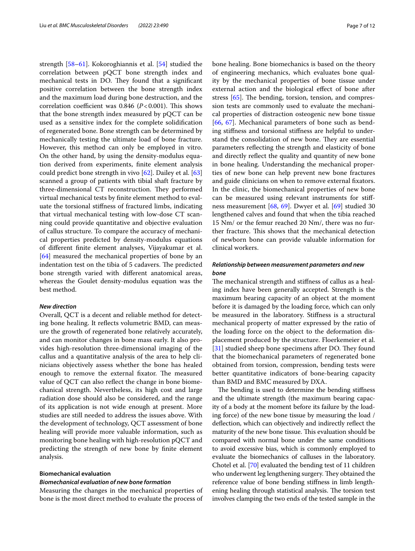strength [\[58](#page-10-16)[–61\]](#page-10-17). Kokoroghiannis et al. [[54](#page-10-12)] studied the correlation between pQCT bone strength index and mechanical tests in DO. They found that a significant positive correlation between the bone strength index and the maximum load during bone destruction, and the correlation coefficient was 0.846  $(P<0.001)$ . This shows that the bone strength index measured by pQCT can be used as a sensitive index for the complete solidifcation of regenerated bone. Bone strength can be determined by mechanically testing the ultimate load of bone fracture. However, this method can only be employed in vitro. On the other hand, by using the density-modulus equation derived from experiments, fnite element analysis could predict bone strength in vivo [\[62\]](#page-10-18). Dailey et al. [[63](#page-10-19)] scanned a group of patients with tibial shaft fracture by three-dimensional CT reconstruction. They performed virtual mechanical tests by fnite element method to evaluate the torsional stifness of fractured limbs, indicating that virtual mechanical testing with low-dose CT scanning could provide quantitative and objective evaluation of callus structure. To compare the accuracy of mechanical properties predicted by density-modulus equations of diferent fnite element analyses, Vijayakumar et al. [[64\]](#page-10-20) measured the mechanical properties of bone by an indentation test on the tibia of 5 cadavers. The predicted bone strength varied with diferent anatomical areas, whereas the Goulet density-modulus equation was the best method.

#### *New direction*

Overall, QCT is a decent and reliable method for detecting bone healing. It refects volumetric BMD, can measure the growth of regenerated bone relatively accurately, and can monitor changes in bone mass early. It also provides high-resolution three-dimensional imaging of the callus and a quantitative analysis of the area to help clinicians objectively assess whether the bone has healed enough to remove the external fixator. The measured value of QCT can also refect the change in bone biomechanical strength. Nevertheless, its high cost and large radiation dose should also be considered, and the range of its application is not wide enough at present. More studies are still needed to address the issues above. With the development of technology, QCT assessment of bone healing will provide more valuable information, such as monitoring bone healing with high-resolution pQCT and predicting the strength of new bone by fnite element analysis.

# **Biomechanical evaluation**

#### *Biomechanical evaluation of new bone formation*

Measuring the changes in the mechanical properties of bone is the most direct method to evaluate the process of bone healing. Bone biomechanics is based on the theory of engineering mechanics, which evaluates bone quality by the mechanical properties of bone tissue under external action and the biological efect of bone after stress  $[65]$  $[65]$ . The bending, torsion, tension, and compression tests are commonly used to evaluate the mechanical properties of distraction osteogenic new bone tissue [[66,](#page-10-22) [67\]](#page-10-23). Mechanical parameters of bone such as bending stifness and torsional stifness are helpful to understand the consolidation of new bone. They are essential parameters refecting the strength and elasticity of bone and directly refect the quality and quantity of new bone in bone healing. Understanding the mechanical properties of new bone can help prevent new bone fractures and guide clinicians on when to remove external fxators. In the clinic, the biomechanical properties of new bone can be measured using relevant instruments for stifness measurement [[68,](#page-10-24) [69](#page-10-25)]. Dwyer et al. [\[69\]](#page-10-25) studied 30 lengthened calves and found that when the tibia reached 15 Nm/ or the femur reached 20 Nm/, there was no further fracture. This shows that the mechanical detection of newborn bone can provide valuable information for clinical workers.

# *Relationship between measurement parameters and new bone*

The mechanical strength and stiffness of callus as a healing index have been generally accepted. Strength is the maximum bearing capacity of an object at the moment before it is damaged by the loading force, which can only be measured in the laboratory. Stifness is a structural mechanical property of matter expressed by the ratio of the loading force on the object to the deformation displacement produced by the structure. Floerkemeier et al. [[31\]](#page-9-29) studied sheep bone specimens after DO. They found that the biomechanical parameters of regenerated bone obtained from torsion, compression, bending tests were better quantitative indicators of bone-bearing capacity than BMD and BMC measured by DXA.

The bending is used to determine the bending stiffness and the ultimate strength (the maximum bearing capacity of a body at the moment before its failure by the loading force) of the new bone tissue by measuring the load / defection, which can objectively and indirectly refect the maturity of the new bone tissue. This evaluation should be compared with normal bone under the same conditions to avoid excessive bias, which is commonly employed to evaluate the biomechanics of calluses in the laboratory. Chotel et al. [\[70\]](#page-10-26) evaluated the bending test of 11 children who underwent leg lengthening surgery. They obtained the reference value of bone bending stifness in limb lengthening healing through statistical analysis. The torsion test involves clamping the two ends of the tested sample in the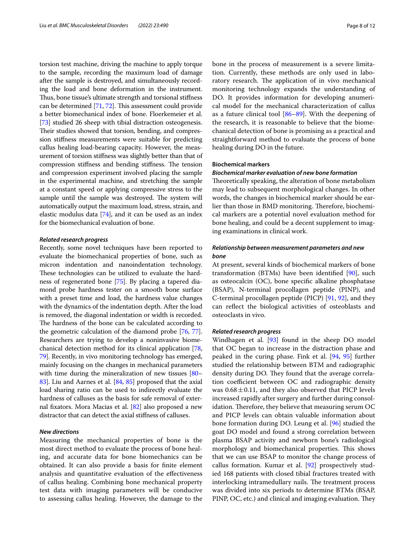torsion test machine, driving the machine to apply torque to the sample, recording the maximum load of damage after the sample is destroyed, and simultaneously recording the load and bone deformation in the instrument. Thus, bone tissue's ultimate strength and torsional stiffness can be determined [\[71,](#page-10-27) [72](#page-10-28)]. This assessment could provide a better biomechanical index of bone. Floerkemeier et al. [[73](#page-10-29)] studied 26 sheep with tibial distraction osteogenesis. Their studies showed that torsion, bending, and compression stifness measurements were suitable for predicting callus healing load-bearing capacity. However, the measurement of torsion stifness was slightly better than that of compression stiffness and bending stiffness. The tension and compression experiment involved placing the sample in the experimental machine, and stretching the sample at a constant speed or applying compressive stress to the sample until the sample was destroyed. The system will automatically output the maximum load, stress, strain, and elastic modulus data [[74](#page-10-30)], and it can be used as an index for the biomechanical evaluation of bone.

#### *Related research progress*

Recently, some novel techniques have been reported to evaluate the biomechanical properties of bone, such as micron indentation and nanoindentation technology. These technologies can be utilized to evaluate the hardness of regenerated bone [\[75\]](#page-10-31). By placing a tapered diamond probe hardness tester on a smooth bone surface with a preset time and load, the hardness value changes with the dynamics of the indentation depth. After the load is removed, the diagonal indentation or width is recorded. The hardness of the bone can be calculated according to the geometric calculation of the diamond probe [\[76](#page-10-32), [77](#page-10-33)]. Researchers are trying to develop a noninvasive biomechanical detection method for its clinical application [[78](#page-10-34), [79](#page-10-35)]. Recently, in vivo monitoring technology has emerged, mainly focusing on the changes in mechanical parameters with time during the mineralization of new tissues [\[80–](#page-10-36) [83](#page-10-37)]. Liu and Aarnes et al. [\[84,](#page-11-0) [85](#page-11-1)] proposed that the axial load sharing ratio can be used to indirectly evaluate the hardness of calluses as the basis for safe removal of external fxators. Mora Macias et al. [[82](#page-10-38)] also proposed a new distractor that can detect the axial stifness of calluses.

#### *New directions*

Measuring the mechanical properties of bone is the most direct method to evaluate the process of bone healing, and accurate data for bone biomechanics can be obtained. It can also provide a basis for fnite element analysis and quantitative evaluation of the efectiveness of callus healing. Combining bone mechanical property test data with imaging parameters will be conducive to assessing callus healing. However, the damage to the bone in the process of measurement is a severe limitation. Currently, these methods are only used in laboratory research. The application of in vivo mechanical monitoring technology expands the understanding of DO. It provides information for developing anumerical model for the mechanical characterization of callus as a future clinical tool [[86–](#page-11-2)[89\]](#page-11-3). With the deepening of the research, it is reasonable to believe that the biomechanical detection of bone is promising as a practical and straightforward method to evaluate the process of bone healing during DO in the future.

#### **Biochemical markers**

#### *Biochemical marker evaluation of new bone formation*

Theoretically speaking, the alteration of bone metabolism may lead to subsequent morphological changes. In other words, the changes in biochemical marker should be earlier than those in BMD monitoring. Therefore, biochemical markers are a potential novel evaluation method for bone healing, and could be a decent supplement to imaging examinations in clinical work.

# *Relationship between measurement parameters and new bone*

At present, several kinds of biochemical markers of bone transformation (BTMs) have been identifed [\[90\]](#page-11-4), such as osteocalcin (OC), bone specifc alkaline phosphatase (BSAP), N-terminal procollagen peptide (PINP), and C-terminal procollagen peptide (PICP) [\[91](#page-11-5), [92\]](#page-11-6), and they can refect the biological activities of osteoblasts and osteoclasts in vivo.

#### *Related research progress*

Windhagen et al. [[93\]](#page-11-7) found in the sheep DO model that OC began to increase in the distraction phase and peaked in the curing phase. Fink et al. [[94](#page-11-8), [95](#page-11-9)] further studied the relationship between BTM and radiographic density during DO. They found that the average correlation coefficient between OC and radiographic density was  $0.68 \pm 0.11$ , and they also observed that PICP levels increased rapidly after surgery and further during consolidation. Therefore, they believe that measuring serum OC and PICP levels can obtain valuable information about bone formation during DO. Leung et al. [[96](#page-11-10)] studied the goat DO model and found a strong correlation between plasma BSAP activity and newborn bone's radiological morphology and biomechanical properties. This shows that we can use BSAP to monitor the change process of callus formation. Kumar et al. [\[92](#page-11-6)] prospectively studied 168 patients with closed tibial fractures treated with interlocking intramedullary nails. The treatment process was divided into six periods to determine BTMs (BSAP, PINP, OC, etc.) and clinical and imaging evaluation. They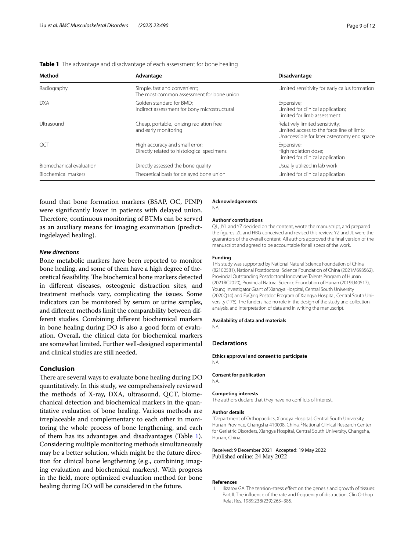| Method                   | Advantage                                                                    | Disadvantage                                                                                                               |
|--------------------------|------------------------------------------------------------------------------|----------------------------------------------------------------------------------------------------------------------------|
| Radiography              | Simple, fast and convenient;<br>The most common assessment for bone union    | Limited sensitivity for early callus formation                                                                             |
| <b>DXA</b>               | Golden standard for BMD:<br>Indirect assessment for bony microstructural     | Expensive;<br>Limited for clinical application;<br>Limited for limb assessment                                             |
| Ultrasound               | Cheap, portable, ionizing radiation free<br>and early monitoring             | Relatively limited sensitivity;<br>Limited access to the force line of limb;<br>Unaccessible for later osteotomy end space |
| QCT                      | High accuracy and small error;<br>Directly related to histological specimens | Expensive;<br>High radiation dose;<br>Limited for clinical application                                                     |
| Biomechanical evaluation | Directly assessed the bone quality                                           | Usually utilized in lab work                                                                                               |
| Biochemical markers      | Theoretical basis for delayed bone union                                     | Limited for clinical application                                                                                           |

#### <span id="page-8-1"></span>**Table 1** The advantage and disadvantage of each assessment for bone healing

found that bone formation markers (BSAP, OC, PINP) were signifcantly lower in patients with delayed union. Therefore, continuous monitoring of BTMs can be served as an auxiliary means for imaging examination (predictingdelayed healing).

# *New directions*

Bone metabolic markers have been reported to monitor bone healing, and some of them have a high degree of theoretical feasibility. The biochemical bone markers detected in diferent diseases, osteogenic distraction sites, and treatment methods vary, complicating the issues. Some indicators can be monitored by serum or urine samples, and diferent methods limit the comparability between different studies. Combining diferent biochemical markers in bone healing during DO is also a good form of evaluation. Overall, the clinical data for biochemical markers are somewhat limited. Further well-designed experimental and clinical studies are still needed.

# **Conclusion**

There are several ways to evaluate bone healing during DO quantitatively. In this study, we comprehensively reviewed the methods of X-ray, DXA, ultrasound, QCT, biomechanical detection and biochemical markers in the quantitative evaluation of bone healing. Various methods are irreplaceable and complementary to each other in monitoring the whole process of bone lengthening, and each of them has its advantages and disadvantages (Table [1](#page-8-1)). Considering multiple monitoring methods simultaneously may be a better solution, which might be the future direction for clinical bone lengthening (e.g., combining imaging evaluation and biochemical markers). With progress in the feld, more optimized evaluation method for bone healing during DO will be considered in the future.

#### **Acknowledgements**

NA

#### **Authors' contributions**

QL, JYL and YZ decided on the content, wrote the manuscript, and prepared the fgures. ZL and HBG conceived and revised this review. YZ and JL were the guarantors of the overall content. All authors approved the fnal version of the manuscript and agreed to be accountable for all specs of the work.

#### **Funding**

This study was supported by National Natural Science Foundation of China (82102581), National Postdoctoral Science Foundation of China (2021M693562), Provincial Outstanding Postdoctoral Innovative Talents Program of Hunan (2021RC2020), Provincial Natural Science Foundation of Hunan (2019JJ40517), Young Investigator Grant of Xiangya Hospital, Central South University (2020Q14) and FuQing Postdoc Program of Xiangya Hospital, Central South University (176). The funders had no role in the design of the study and collection, analysis, and interpretation of data and in writing the manuscript.

#### **Availability of data and materials**

NA.

#### **Declarations**

**Ethics approval and consent to participate** NA.

#### **Consent for publication**

NA.

#### **Competing interests**

The authors declare that they have no conficts of interest.

#### **Author details**

<sup>1</sup> Department of Orthopaedics, Xiangya Hospital, Central South University, Hunan Province, Changsha 410008, China. <sup>2</sup>National Clinical Research Center for Geriatric Disorders, Xiangya Hospital, Central South University, Changsha, Hunan, China.

#### Received: 9 December 2021 Accepted: 19 May 2022 Published online: 24 May 2022

#### **References**

<span id="page-8-0"></span>1. Ilizarov GA. The tension-stress efect on the genesis and growth of tissues: Part II. The infuence of the rate and frequency of distraction. Clin Orthop Relat Res. 1989;238(239):263–385.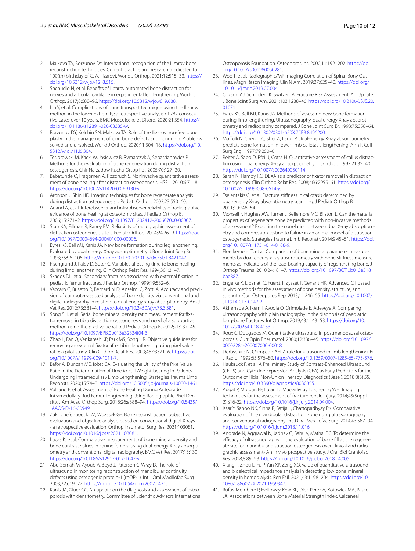- <span id="page-9-0"></span>2. Malkova TA, Borzunov DY. International recognition of the Ilizarov bone reconstruction techniques: Current practice and research (dedicated to 100(th) birthday of G. A. Ilizarov). World J Orthop. 2021;12:515–33. [https://](https://doi.org/10.5312/wjo.v12.i8.515) [doi.org/10.5312/wjo.v12.i8.515](https://doi.org/10.5312/wjo.v12.i8.515).
- <span id="page-9-1"></span>3. Shchudlo N, et al. Benefts of Ilizarov automated bone distraction for nerves and articular cartilage in experimental leg lengthening. World J Orthop. 2017;8:688–96.<https://doi.org/10.5312/wjo.v8.i9.688>.
- <span id="page-9-2"></span>4. Liu Y, et al. Complications of bone transport technique using the Ilizarov method in the lower extremity: a retrospective analysis of 282 consecutive cases over 10 years. BMC Musculoskelet Disord. 2020;21:354. [https://](https://doi.org/10.1186/s12891-020-03335-w) [doi.org/10.1186/s12891-020-03335-w.](https://doi.org/10.1186/s12891-020-03335-w)
- <span id="page-9-3"></span>5. Borzunov DY, Kolchin SN, Malkova TA. Role of the Ilizarov non-free bone plasty in the management of long bone defects and nonunion: Problems solved and unsolved. World J Orthop. 2020;11:304–18. [https://doi.org/10.](https://doi.org/10.5312/wjo.v11.i6.304) [5312/wjo.v11.i6.304.](https://doi.org/10.5312/wjo.v11.i6.304)
- <span id="page-9-4"></span>6. Tesiorowski M, Kacki W, Jasiewicz B, Rymarczyk A, Sebastianowicz P. Methods for the evaluation of bone regeneration during distraction osteogenesis. Chir Narzadow Ruchu Ortop Pol. 2005;70:127–30.
- <span id="page-9-5"></span>7. Babatunde O, Fragomen A, Rozbruch S. Noninvasive quantitative assessment of bone healing after distraction osteogenesis. HSS J. 2010;6:71–8. [https://doi.org/10.1007/s11420-009-9130-y.](https://doi.org/10.1007/s11420-009-9130-y)
- <span id="page-9-6"></span>8. Aronson J, Shin HD. Imaging techniques for bone regenerate analysis during distraction osteogenesis. J Pediatr Orthop. 2003;23:550–60.
- <span id="page-9-7"></span>9. Anand A, et al. Interobserver and intraobserver reliability of radiographic evidence of bone healing at osteotomy sites. J Pediatr Orthop B. 2006;15:271–2. <https://doi.org/10.1097/01202412-200607000-00007>.
- <span id="page-9-8"></span>10. Starr KA, Fillman R, Raney EM. Reliability of radiographic assessment of distraction osteogenesis site. J Pediatr Orthop. 2004;24:26–9. [https://doi.](https://doi.org/10.1097/00004694-200401000-00006) [org/10.1097/00004694-200401000-00006](https://doi.org/10.1097/00004694-200401000-00006).
- <span id="page-9-9"></span>11. Eyres KS, Bell MJ, Kanis JA. New bone formation during leg lengthening. Evaluated by dual energy X-ray absorptiometry. J Bone Joint Surg Br. 1993;75:96–106. [https://doi.org/10.1302/0301-620x.75b1.8421047.](https://doi.org/10.1302/0301-620x.75b1.8421047)
- <span id="page-9-10"></span>12. Fischgrund J, Paley D, Suter C. Variables affecting time to bone healing during limb lengthening. Clin Orthop Relat Res. 1994;301:31–7.
- <span id="page-9-11"></span>13. Skaggs DL, et al. Secondary fractures associated with external fxation in pediatric femur fractures. J Pediatr Orthop. 1999;19:582–6.
- <span id="page-9-12"></span>14. Vaccaro C, Busetto R, Bernardini D, Anselmi C, Zotti A. Accuracy and precision of computer-assisted analysis of bone density via conventional and digital radiography in relation to dual-energy x-ray absorptiometry. Am J Vet Res. 2012;73:381–4. [https://doi.org/10.2460/ajvr.73.3.381.](https://doi.org/10.2460/ajvr.73.3.381)
- <span id="page-9-13"></span>15. Song SH, et al. Serial bone mineral density ratio measurement for fxator removal in tibia distraction osteogenesis and need of a supportive method using the pixel value ratio. J Pediatr Orthop B. 2012;21:137–45. [https://doi.org/10.1097/BPB.0b013e32834f04f3.](https://doi.org/10.1097/BPB.0b013e32834f04f3)
- <span id="page-9-14"></span>16. Zhao L, Fan Q, Venkatesh KP, Park MS, Song HR. Objective guidelines for removing an external fxator after tibial lengthening using pixel value ratio: a pilot study. Clin Orthop Relat Res. 2009;467:3321–6. [https://doi.](https://doi.org/10.1007/s11999-009-1011-7) [org/10.1007/s11999-009-1011-7.](https://doi.org/10.1007/s11999-009-1011-7)
- <span id="page-9-15"></span>17. Bafor A, Duncan ME, Iobst CA. Evaluating the Utility of the Pixel Value Ratio in the Determination of Time to Full Weight-bearing in Patients Undergoing Intramedullary Limb Lengthening. Strategies Trauma Limb Reconstr. 2020;15:74–8. [https://doi.org/10.5005/jp-journals-10080-1461.](https://doi.org/10.5005/jp-journals-10080-1461)
- <span id="page-9-16"></span>18. Vulcano E, et al. Assessment of Bone Healing During Antegrade Intramedullary Rod Femur Lengthening Using Radiographic Pixel Density. J Am Acad Orthop Surg. 2018;26:e388–94. [https://doi.org/10.5435/](https://doi.org/10.5435/JAAOS-D-16-00949) [JAAOS-D-16-00949.](https://doi.org/10.5435/JAAOS-D-16-00949)
- <span id="page-9-17"></span>19. Zak L, Tiefenboeck TM, Wozasek GE. Bone reconstruction: Subjective evaluation and objective analysis based on conventional digital X-rays - a retrospective evaluation. Orthop Traumatol Surg Res. 2021;103081. [https://doi.org/10.1016/j.otsr.2021.103081.](https://doi.org/10.1016/j.otsr.2021.103081)
- <span id="page-9-18"></span>20. Lucas K, et al. Comparative measurements of bone mineral density and bone contrast values in canine femora using dual-energy X-ray absorptiometry and conventional digital radiography. BMC Vet Res. 2017;13:130. [https://doi.org/10.1186/s12917-017-1047-y.](https://doi.org/10.1186/s12917-017-1047-y)
- <span id="page-9-19"></span>21. Abu-Serriah M, Ayoub A, Boyd J, Paterson C, Wray D. The role of ultrasound in monitoring reconstruction of mandibular continuity defects using osteogenic protein-1 (rhOP-1). Int J Oral Maxillofac Surg. 2003;32:619–27.<https://doi.org/10.1054/ijom.2002.0421>.
- <span id="page-9-20"></span>22. Kanis JA, Gluer CC. An update on the diagnosis and assessment of osteoporosis with densitometry. Committee of Scientifc Advisors International

Osteoporosis Foundation. Osteoporos Int. 2000;11:192–202. [https://doi.](https://doi.org/10.1007/s001980050281) [org/10.1007/s001980050281](https://doi.org/10.1007/s001980050281).

- <span id="page-9-21"></span>23. Woo T, et al. Radiographic/MR Imaging Correlation of Spinal Bony Outlines. Magn Reson Imaging Clin N Am. 2019;27:625–40. [https://doi.org/](https://doi.org/10.1016/j.mric.2019.07.004) [10.1016/j.mric.2019.07.004.](https://doi.org/10.1016/j.mric.2019.07.004)
- <span id="page-9-22"></span>24. Cozadd AJ, Schroder LK, Switzer JA. Fracture Risk Assessment: An Update. J Bone Joint Surg Am. 2021;103:1238–46. [https://doi.org/10.2106/JBJS.20.](https://doi.org/10.2106/JBJS.20.01071) [01071](https://doi.org/10.2106/JBJS.20.01071).
- <span id="page-9-23"></span>25. Eyres KS, Bell MJ, Kanis JA. Methods of assessing new bone formation during limb lengthening. Ultrasonography, dual energy X-ray absorptiometry and radiography compared. J Bone Joint Surg Br. 1993;75:358–64. [https://doi.org/10.1302/0301-620X.75B3.8496200.](https://doi.org/10.1302/0301-620X.75B3.8496200)
- <span id="page-9-24"></span>26. Maffulli N, Cheng JC, Sher A, Lam TP. Dual-energy X-ray absorptiometry predicts bone formation in lower limb callotasis lengthening. Ann R Coll Surg Engl. 1997;79:250–6.
- <span id="page-9-25"></span>27. Reiter A, Sabo D, Pfeil J, Cotta H. Quantitative assessment of callus distraction using dual energy X-ray absorptiometry. Int Orthop. 1997;21:35–40. <https://doi.org/10.1007/s002640050114>.
- <span id="page-9-26"></span>28. Saran N, Hamdy RC. DEXA as a predictor of fxator removal in distraction osteogenesis. Clin Orthop Relat Res. 2008;466:2955–61. [https://doi.org/](https://doi.org/10.1007/s11999-008-0514-y) [10.1007/s11999-008-0514-y](https://doi.org/10.1007/s11999-008-0514-y).
- <span id="page-9-27"></span>29. Tselentakis G, et al. Fracture stifness in callotasis determined by dual-energy X-ray absorptiometry scanning. J Pediatr Orthop B. 2001;10:248–54.
- <span id="page-9-28"></span>30. Monsell F, Hughes AW, Turner J, Bellemore MC, Bilston L. Can the material properties of regenerate bone be predicted with non-invasive methods of assessment? Exploring the correlation between dual X-ray absorptiometry and compression testing to failure in an animal model of distraction osteogenesis. Strategies Trauma Limb Reconstr. 2014;9:45–51. [https://doi.](https://doi.org/10.1007/s11751-014-0188-9) [org/10.1007/s11751-014-0188-9.](https://doi.org/10.1007/s11751-014-0188-9)
- <span id="page-9-29"></span>31. Floerkemeier T, et al. Comparison of bone mineral parameter measurements by dual-energy x-ray absorptiometry with bone stifness measurements as indicators of the load-bearing capacity of regenerating bone. J Orthop Trauma. 2010;24:181–7. [https://doi.org/10.1097/BOT.0b013e3181](https://doi.org/10.1097/BOT.0b013e3181bae887) [bae887.](https://doi.org/10.1097/BOT.0b013e3181bae887)
- <span id="page-9-30"></span>32. Engelke K, Libanati C, Fuerst T, Zysset P, Genant HK. Advanced CT based in vivo methods for the assessment of bone density, structure, and strength. Curr Osteoporos Rep. 2013;11:246–55. [https://doi.org/10.1007/](https://doi.org/10.1007/s11914-013-0147-2) [s11914-013-0147-2.](https://doi.org/10.1007/s11914-013-0147-2)
- <span id="page-9-31"></span>33. Akinmade A, Ikem I, Ayoola O, Orimolade E, Adeyeye A. Comparing ultrasonography with plain radiography in the diagnosis of paediatric long-bone fractures. Int Orthop. 2019;43:1143–53. [https://doi.org/10.](https://doi.org/10.1007/s00264-018-4133-2) [1007/s00264-018-4133-2](https://doi.org/10.1007/s00264-018-4133-2).
- <span id="page-9-32"></span>34. Roux C, Dougados M. Quantitative ultrasound in postmenopausal osteoporosis. Curr Opin Rheumatol. 2000;12:336–45. [https://doi.org/10.1097/](https://doi.org/10.1097/00002281-200007000-00018) [00002281-200007000-00018.](https://doi.org/10.1097/00002281-200007000-00018)
- <span id="page-9-33"></span>35. Derbyshire ND, Simpson AH. A role for ultrasound in limb lengthening. Br J Radiol. 1992;65:576–80. <https://doi.org/10.1259/0007-1285-65-775-576>.
- <span id="page-9-34"></span>36. Haubruck P, et al. A Preliminary Study of Contrast-Enhanced Ultrasound (CEUS) and Cytokine Expression Analysis (CEA) as Early Predictors for the Outcome of Tibial Non-Union Therapy. Diagnostics (Basel). 2018;8(3):55. <https://doi.org/10.3390/diagnostics8030055>.
- <span id="page-9-35"></span>37. Augat P, Morgan EF, Lujan TJ, MacGillivray TJ, Cheung WH. Imaging techniques for the assessment of fracture repair. Injury. 2014;45(Suppl 2):S16-22. <https://doi.org/10.1016/j.injury.2014.04.004>.
- 38. Issar Y, Sahoo NK, Sinha R, Satija L, Chattopadhyay PK. Comparative evaluation of the mandibular distraction zone using ultrasonography and conventional radiography. Int J Oral Maxillofac Surg. 2014;43:587–94. [https://doi.org/10.1016/j.ijom.2013.11.016.](https://doi.org/10.1016/j.ijom.2013.11.016)
- <span id="page-9-36"></span>39. Andrade N, Aggrawal N, Jadhav G, Sahu V, Mathai PC. To determine the efficacy of ultrasonography in the evaluation of bone fill at the regenerate site for mandibular distraction osteogenesis over clinical and radiographic assessment- An in vivo prospective study. J Oral Biol Craniofac Res. 2018;8:89–93. [https://doi.org/10.1016/j.jobcr.2018.04.005.](https://doi.org/10.1016/j.jobcr.2018.04.005)
- <span id="page-9-37"></span>40. Xiang T, Zhou L, Fu P, Yan XP, Zeng XQ. Value of quantitative ultrasound and bioelectrical impedance analysis in detecting low bone mineral density in hemodialysis. Ren Fail. 2021;43:1198–204. [https://doi.org/10.](https://doi.org/10.1080/0886022X.2021.1959347) [1080/0886022X.2021.1959347.](https://doi.org/10.1080/0886022X.2021.1959347)
- 41. Rufus-Membere P, Holloway-Kew KL, Diez-Perez A, Kotowicz MA, Pasco JA. Associations between Bone Material Strength Index, Calcaneal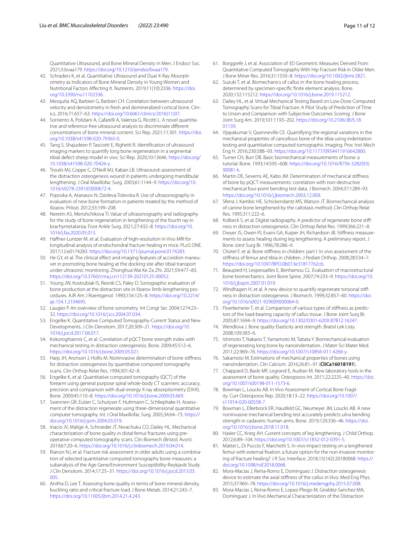Quantitative Ultrasound, and Bone Mineral Density in Men. J Endocr Soc. 2021;5:bvaa179. [https://doi.org/10.1210/jendso/bvaa179.](https://doi.org/10.1210/jendso/bvaa179)

- <span id="page-10-0"></span>42. Schraders K, et al. Quantitative Ultrasound and Dual X-Ray Absorptiometry as Indicators of Bone Mineral Density in Young Women and Nutritional Factors Afecting It. Nutrients. 2019;11(10):2336. [https://doi.](https://doi.org/10.3390/nu11102336) [org/10.3390/nu11102336.](https://doi.org/10.3390/nu11102336)
- <span id="page-10-1"></span>43. Mesquita AQ, Barbieri G, Barbieri CH. Correlation between ultrasound velocity and densitometry in fresh and demineralized cortical bone. Clinics. 2016;71:657–63. [https://doi.org/10.6061/clinics/2016\(11\)07.](https://doi.org/10.6061/clinics/2016(11)07)
- <span id="page-10-2"></span>44. Sorriento A, Poliziani A, Cafarelli A, Valenza G, Ricotti L. A novel quantitative and reference-free ultrasound analysis to discriminate diferent concentrations of bone mineral content. Sci Rep. 2021;11:301. [https://doi.](https://doi.org/10.1038/s41598-020-79365-0) [org/10.1038/s41598-020-79365-0](https://doi.org/10.1038/s41598-020-79365-0).
- <span id="page-10-3"></span>45. Tang S, Shajudeen P, Tasciotti E, Righetti R. Identifcation of ultrasound imaging markers to quantify long bone regeneration in a segmental tibial defect sheep model in vivo. Sci Rep. 2020;10:13646. [https://doi.org/](https://doi.org/10.1038/s41598-020-70426-y) [10.1038/s41598-020-70426-y.](https://doi.org/10.1038/s41598-020-70426-y)
- <span id="page-10-4"></span>46. Troulis MJ, Coppe C, O'Neill MJ, Kaban LB. Ultrasound: assessment of the distraction osteogenesis wound in patients undergoing mandibular lengthening. J Oral Maxillofac Surg. 2003;61:1144–9. [https://doi.org/10.](https://doi.org/10.1016/s0278-2391(03)00672-4) [1016/s0278-2391\(03\)00672-4.](https://doi.org/10.1016/s0278-2391(03)00672-4)
- <span id="page-10-5"></span>47. Poposka A, Atanasov N, Dzoleva-Tolevska R. Use of ultrasonography in evaluation of new bone formation in patients treated by the method of Ilizarov. Prilozi. 2012;33:199–208.
- <span id="page-10-6"></span>48. Neretin AS, Menshchikova TI. Value of ultrasonography and radiography for the study of bone regeneration in lengthening of the fourth ray in brachymetatarsia. Foot Ankle Surg. 2021;27:432–8. [https://doi.org/10.](https://doi.org/10.1016/j.fas.2020.05.013) [1016/j.fas.2020.05.013.](https://doi.org/10.1016/j.fas.2020.05.013)
- <span id="page-10-7"></span>49. Haffner-Luntzer M, et al. Evaluation of high-resolution In Vivo MRI for longitudinal analysis of endochondral fracture healing in mice. PLoS ONE. 2017;12:e0174283.<https://doi.org/10.1371/journal.pone.0174283>.
- <span id="page-10-8"></span>50. He GY, et al. The clinical effect and imaging features of accordion maneuver in promoting bone healing at the docking site after tibial transport under ultrasonic monitoring. Zhonghua Wai Ke Za Zhi. 2021;59:477–83. [https://doi.org/10.3760/cma.j.cn112139-20210125-00052.](https://doi.org/10.3760/cma.j.cn112139-20210125-00052)
- <span id="page-10-9"></span>51. Young JW, Kostrubiak IS, Resnik CS, Paley D. Sonographic evaluation of bone production at the distraction site in Ilizarov limb-lengthening procedures. AJR Am J Roentgenol. 1990;154:125–8. [https://doi.org/10.2214/](https://doi.org/10.2214/ajr.154.1.2104695) [ajr.154.1.2104695.](https://doi.org/10.2214/ajr.154.1.2104695)
- <span id="page-10-10"></span>52. Laugier P. An overview of bone sonometry. Int Congr Ser. 2004;1274:23– 32. <https://doi.org/10.1016/j.ics.2004.07.034>.
- <span id="page-10-11"></span>53. Engelke K. Quantitative Computed Tomography-Current Status and New Developments. J Clin Densitom. 2017;20:309–21. [https://doi.org/10.](https://doi.org/10.1016/j.jocd.2017.06.017) [1016/j.jocd.2017.06.017.](https://doi.org/10.1016/j.jocd.2017.06.017)
- <span id="page-10-12"></span>54. Kokoroghiannis C, et al. Correlation of pQCT bone strength index with mechanical testing in distraction osteogenesis. Bone. 2009;45:512–6. [https://doi.org/10.1016/j.bone.2009.05.021.](https://doi.org/10.1016/j.bone.2009.05.021)
- <span id="page-10-13"></span>55. Harp JH, Aronson J, Hollis M. Noninvasive determination of bone stifness for distraction osteogenesis by quantitative computed tomography scans. Clin Orthop Relat Res. 1994;301:42–8.
- <span id="page-10-14"></span>56. Engelke K, et al. Quantitative computed tomography (QCT) of the forearm using general purpose spiral whole-body CT scanners: accuracy, precision and comparison with dual-energy X-ray absorptiometry (DXA). Bone. 2009;45:110–8. <https://doi.org/10.1016/j.bone.2009.03.669>.
- <span id="page-10-15"></span>57. Swennen GR, Eulzer C, Schutyser F, Huttmann C, Schliephake H. Assessment of the distraction regenerate using three-dimensional quantitative computer tomography. Int J Oral Maxillofac Surg. 2005;34:64–73. [https://](https://doi.org/10.1016/j.ijom.2004.03.019) [doi.org/10.1016/j.ijom.2004.03.019](https://doi.org/10.1016/j.ijom.2004.03.019).
- <span id="page-10-16"></span>58. Inacio JV, Malige A, Schroeder JT, Nwachuku CO, Dailey HL. Mechanical characterization of bone quality in distal femur fractures using preoperative computed tomography scans. Clin Biomech (Bristol, Avon). 2019;67:20–6. [https://doi.org/10.1016/j.clinbiomech.2019.04.014.](https://doi.org/10.1016/j.clinbiomech.2019.04.014)
- 59. Rianon NJ, et al. Fracture risk assessment in older adults using a combination of selected quantitative computed tomography bone measures: a subanalysis of the Age Gene/Environment Susceptibility-Reykjavik Study. J Clin Densitom. 2014;17:25–31. [https://doi.org/10.1016/j.jocd.2013.03.](https://doi.org/10.1016/j.jocd.2013.03.005) [005.](https://doi.org/10.1016/j.jocd.2013.03.005)
- 60. Anitha D, Lee T. Assessing bone quality in terms of bone mineral density, buckling ratio and critical fracture load. J Bone Metab. 2014;21:243–7. [https://doi.org/10.11005/jbm.2014.21.4.243.](https://doi.org/10.11005/jbm.2014.21.4.243)
- <span id="page-10-17"></span>61. Borggrefe J, et al. Association of 3D Geometric Measures Derived From Quantitative Computed Tomography With Hip Fracture Risk in Older Men. J Bone Miner Res. 2016;31:1550–8. <https://doi.org/10.1002/jbmr.2821>.
- <span id="page-10-18"></span>62. Suzuki T, et al. Biomechanics of callus in the bone healing process, determined by specimen-specifc fnite element analysis. Bone. 2020;132:115212. <https://doi.org/10.1016/j.bone.2019.115212>.
- <span id="page-10-19"></span>63. Dailey HL, et al. Virtual Mechanical Testing Based on Low-Dose Computed Tomography Scans for Tibial Fracture: A Pilot Study of Prediction of Time to Union and Comparison with Subjective Outcomes Scoring. J Bone Joint Surg Am. 2019;101:1193–202. [https://doi.org/10.2106/JBJS.18.](https://doi.org/10.2106/JBJS.18.01139) [01139](https://doi.org/10.2106/JBJS.18.01139).
- <span id="page-10-20"></span>64. Vijayakumar V, Quenneville CE. Quantifying the regional variations in the mechanical properties of cancellous bone of the tibia using indentation testing and quantitative computed tomographic imaging. Proc Inst Mech Eng H. 2016;230:588–93. <https://doi.org/10.1177/0954411916642800>.
- <span id="page-10-21"></span>65. Turner CH, Burr DB. Basic biomechanical measurements of bone: a tutorial. Bone. 1993;14:595–608. [https://doi.org/10.1016/8756-3282\(93\)](https://doi.org/10.1016/8756-3282(93)90081-k) [90081-k.](https://doi.org/10.1016/8756-3282(93)90081-k)
- <span id="page-10-22"></span>66. Martin DE, Severns AE, Kabo JM. Determination of mechanical stifness of bone by pQCT measurements: correlation with non-destructive mechanical four-point bending test data. J Biomech. 2004;37:1289–93. [https://doi.org/10.1016/j.jbiomech.2003.12.009.](https://doi.org/10.1016/j.jbiomech.2003.12.009)
- <span id="page-10-23"></span>67. Sferra J, Kambic HE, Schickendantz MS, Watson JT. Biomechanical analysis of canine bone lengthened by the callotasis method. Clin Orthop Relat Res. 1995;311:222–6.
- <span id="page-10-24"></span>68. Kolbeck S, et al. Digital radiography. A predictor of regenerate bone stifness in distraction osteogenesis. Clin Orthop Relat Res. 1999;366:221–8.
- <span id="page-10-25"></span>69. Dwyer JS, Owen PJ, Evans GA, Kuiper JH, Richardson JB. Stifness measurements to assess healing during leg lengthening. A preliminary report. J Bone Joint Surg Br. 1996;78:286–9.
- <span id="page-10-26"></span>70. Chotel F, et al. Bone stifness in children: part I. In vivo assessment of the stifness of femur and tibia in children. J Pediatr Orthop. 2008;28:534–7. <https://doi.org/10.1097/BPO.0b013e31817762cb>.
- <span id="page-10-27"></span>71. Beaupied H, Lespessailles E, Benhamou CL. Evaluation of macrostructural bone biomechanics. Joint Bone Spine. 2007;74:233–9. [https://doi.org/10.](https://doi.org/10.1016/j.jbspin.2007.01.019) [1016/j.jbspin.2007.01.019.](https://doi.org/10.1016/j.jbspin.2007.01.019)
- <span id="page-10-28"></span>72. Windhagen H, et al. A new device to quantify regenerate torsional stifness in distraction osteogenesis. J Biomech. 1999;32:857–60. [https://doi.](https://doi.org/10.1016/s0021-9290(99)00064-0) [org/10.1016/s0021-9290\(99\)00064-0](https://doi.org/10.1016/s0021-9290(99)00064-0).
- <span id="page-10-29"></span>73. Floerkemeier T, et al. Comparison of various types of stifness as predictors of the load-bearing capacity of callus tissue. J Bone Joint Surg Br. 2005;87:1694–9.<https://doi.org/10.1302/0301-620X.87B12.16247>.
- <span id="page-10-30"></span>74. Wendlova J. Bone quality Elasticity and strength. Bratisl Lek Listy. 2008;109:383–6.
- <span id="page-10-31"></span>75. Ishimoto T, Nakano T, Yamamoto M, Tabata Y. Biomechanical evaluation of regenerating long bone by nanoindentation. J Mater Sci Mater Med. 2011;22:969–76. [https://doi.org/10.1007/s10856-011-4266-y.](https://doi.org/10.1007/s10856-011-4266-y)
- <span id="page-10-32"></span>76. Sakamoto M. Estimations of mechanical properties of bones using nanoindentation. Clin Calcium. 2016;26:81–91 (**CliCa16018191**).
- <span id="page-10-33"></span>77. Chappard D, Basle MF, Legrand E, Audran M. New laboratory tools in the assessment of bone quality. Osteoporos Int. 2011;22:2225–40. [https://doi.](https://doi.org/10.1007/s00198-011-1573-6) [org/10.1007/s00198-011-1573-6.](https://doi.org/10.1007/s00198-011-1573-6)
- <span id="page-10-34"></span>78. Bowman L, Loucks AB. In Vivo Assessment of Cortical Bone Fragility. Curr Osteoporos Rep. 2020;18:13–22. [https://doi.org/10.1007/](https://doi.org/10.1007/s11914-020-00558-7) [s11914-020-00558-7](https://doi.org/10.1007/s11914-020-00558-7).
- <span id="page-10-35"></span>79. Bowman L, Ellerbrock ER, Hausfeld GC, Neumeyer JM, Loucks AB. A new noninvasive mechanical bending test accurately predicts ulna bending strength in cadaveric human arms. Bone. 2019;120:336–46. [https://doi.](https://doi.org/10.1016/j.bone.2018.11.018) [org/10.1016/j.bone.2018.11.018.](https://doi.org/10.1016/j.bone.2018.11.018)
- <span id="page-10-36"></span>80. Hasler CC, Krieg AH. Current concepts of leg lengthening. J Child Orthop. 2012;6:89–104. [https://doi.org/10.1007/s11832-012-0391-5.](https://doi.org/10.1007/s11832-012-0391-5)
- 81. Mattei L, Di Puccio F, Marchetti S. In vivo impact testing on a lengthened femur with external fxation: a future option for the non-invasive monitoring of fracture healing? J R Soc Interface. 2018;15(142):20180068. [https://](https://doi.org/10.1098/rsif.2018.0068) [doi.org/10.1098/rsif.2018.0068.](https://doi.org/10.1098/rsif.2018.0068)
- <span id="page-10-38"></span>82. Mora-Macias J, Reina-Romo E, Dominguez J. Distraction osteogenesis device to estimate the axial stifness of the callus in Vivo. Med Eng Phys. 2015;37:969–78.<https://doi.org/10.1016/j.medengphy.2015.07.008>.
- <span id="page-10-37"></span>83. Mora-Macias J, Reina-Romo E, Lopez-Pliego M, Giraldez-Sanchez MA, Dominguez J. In Vivo Mechanical Characterization of the Distraction